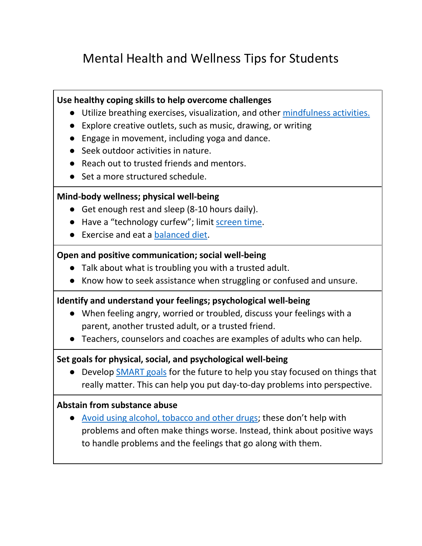# Mental Health and Wellness Tips for Students

## **Use healthy coping skills to help overcome challenges**

- Utilize breathing exercises, visualization, and other [mindfulness activities.](https://www.commonsense.org/education/search?sq=mindfulness%20apps)
- Explore creative outlets, such as music, drawing, or writing
- Engage in movement, including yoga and dance.
- Seek outdoor activities in nature.
- Reach out to trusted friends and mentors.
- Set a more structured schedule.

## **Mind-body wellness; physical well-being**

- Get enough rest and sleep (8-10 hours daily).
- Have a "technology curfew"; limit [screen time.](https://www.commonsensemedia.org/screen-time)
- Exercise and eat a [balanced diet.](https://www.choosemyplate.gov/)

## **Open and positive communication; social well-being**

- Talk about what is troubling you with a trusted adult.
- Know how to seek assistance when struggling or confused and unsure.

## **Identify and understand your feelings; psychological well-being**

- When feeling angry, worried or troubled, discuss your feelings with a parent, another trusted adult, or a trusted friend.
- Teachers, counselors and coaches are examples of adults who can help.

## **Set goals for physical, social, and psychological well-being**

● Develop [SMART goals](https://www.cdc.gov/dhdsp/evaluation_resources/guides/writing-smart-objectives.htm) for the future to help you stay focused on things that really matter. This can help you put day-to-day problems into perspective.

## **Abstain from substance abuse**

● [Avoid using alcohol, tobacco and other drugs](https://www.drugabuse.gov/); these don't help with problems and often make things worse. Instead, think about positive ways to handle problems and the feelings that go along with them.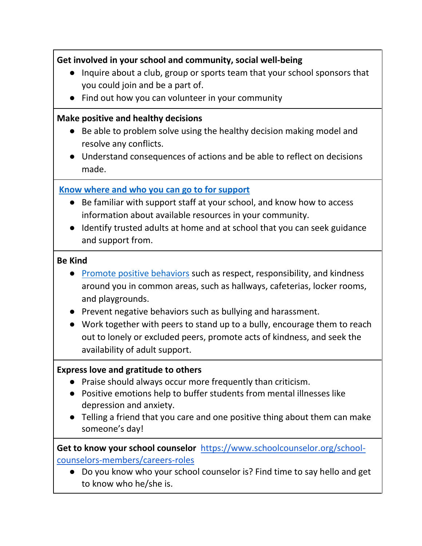# **Get involved in your school and community, social well-being**

- Inquire about a club, group or sports team that your school sponsors that you could join and be a part of.
- Find out how you can volunteer in your community

## **Make positive and healthy decisions**

- Be able to problem solve using the healthy decision making model and resolve any conflicts.
- Understand consequences of actions and be able to reflect on decisions made.

# **[Know where and who you can go to for support](https://www.montgomeryschoolsmd.org/curriculum/health/resources/)**

- Be familiar with support staff at your school, and know how to access information about available resources in your community.
- Identify trusted adults at home and at school that you can seek guidance and support from.

## **Be Kind**

- [Promote positive behaviors](https://www.tolerance.org/) such as respect, responsibility, and kindness around you in common areas, such as hallways, cafeterias, locker rooms, and playgrounds.
- Prevent negative behaviors such as bullying and harassment.
- Work together with peers to stand up to a bully, encourage them to reach out to lonely or excluded peers, promote acts of kindness, and seek the availability of adult support.

# **Express love and gratitude to others**

- Praise should always occur more frequently than criticism.
- Positive emotions help to buffer students from mental illnesses like depression and anxiety.
- Telling a friend that you care and one positive thing about them can make someone's day!

**Get to know your school counselor** [https://www.schoolcounselor.org/school](https://www.schoolcounselor.org/school-counselors-members/careers-roles)[counselors-members/careers-roles](https://www.schoolcounselor.org/school-counselors-members/careers-roles)

● Do you know who your school counselor is? Find time to say hello and get to know who he/she is.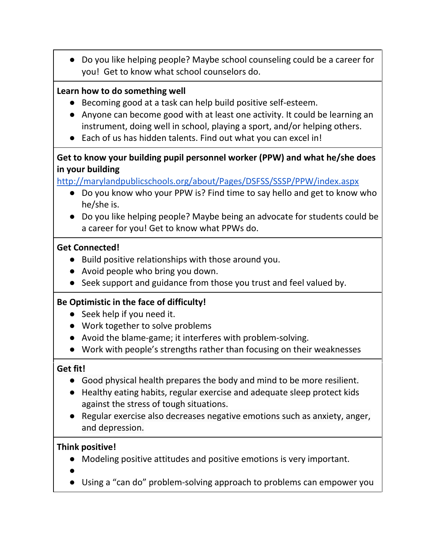● Do you like helping people? Maybe school counseling could be a career for you! Get to know what school counselors do.

## **Learn how to do something well**

- Becoming good at a task can help build positive self-esteem.
- Anyone can become good with at least one activity. It could be learning an instrument, doing well in school, playing a sport, and/or helping others.
- Each of us has hidden talents. Find out what you can excel in!

## **Get to know your building pupil personnel worker (PPW) and what he/she does in your building**

<http://marylandpublicschools.org/about/Pages/DSFSS/SSSP/PPW/index.aspx>

- Do you know who your PPW is? Find time to say hello and get to know who he/she is.
- Do you like helping people? Maybe being an advocate for students could be a career for you! Get to know what PPWs do.

## **Get Connected!**

- Build positive relationships with those around you.
- Avoid people who bring you down.
- Seek support and guidance from those you trust and feel valued by.

# **Be Optimistic in the face of difficulty!**

- Seek help if you need it.
- Work together to solve problems
- Avoid the blame-game; it interferes with problem-solving.
- Work with people's strengths rather than focusing on their weaknesses

## **Get fit!**

- Good physical health prepares the body and mind to be more resilient.
- Healthy eating habits, regular exercise and adequate sleep protect kids against the stress of tough situations.
- Regular exercise also decreases negative emotions such as anxiety, anger, and depression.

## **Think positive!**

- Modeling positive attitudes and positive emotions is very important.
- $\bullet$
- Using a "can do" problem-solving approach to problems can empower you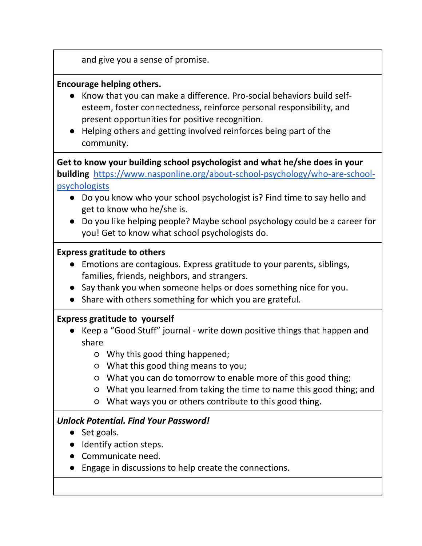and give you a sense of promise.

## **Encourage helping others.**

- Know that you can make a difference. Pro-social behaviors build selfesteem, foster connectedness, reinforce personal responsibility, and present opportunities for positive recognition.
- Helping others and getting involved reinforces being part of the community.

**Get to know your building school psychologist and what he/she does in your building** [https://www.nasponline.org/about-school-psychology/who-are-school](https://www.nasponline.org/about-school-psychology/who-are-school-psychologists)[psychologists](https://www.nasponline.org/about-school-psychology/who-are-school-psychologists)

- Do you know who your school psychologist is? Find time to say hello and get to know who he/she is.
- Do you like helping people? Maybe school psychology could be a career for you! Get to know what school psychologists do.

## **Express gratitude to others**

- Emotions are contagious. Express gratitude to your parents, siblings, families, friends, neighbors, and strangers.
- Say thank you when someone helps or does something nice for you.
- Share with others something for which you are grateful.

## **Express gratitude to yourself**

- Keep a "Good Stuff" journal write down positive things that happen and share
	- Why this good thing happened;
	- What this good thing means to you;
	- What you can do tomorrow to enable more of this good thing;
	- What you learned from taking the time to name this good thing; and
	- What ways you or others contribute to this good thing.

## *Unlock Potential. Find Your Password!*

- Set goals.
- Identify action steps.
- Communicate need.
- Engage in discussions to help create the connections.